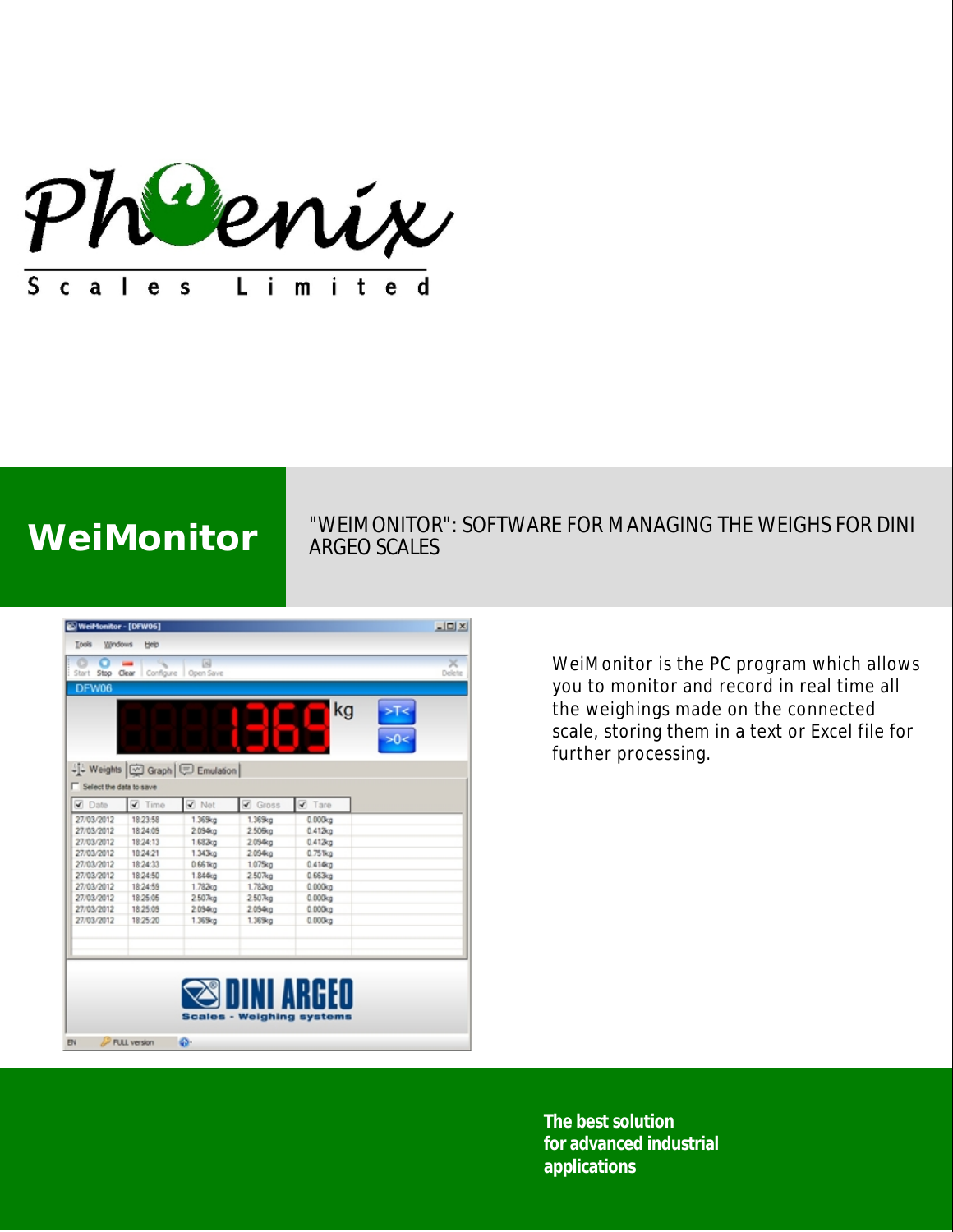

# WeiMonitor WEIMONITOR": SOFTWARE FOR MANAGING THE WEIGHS FOR DINI ARGEO SCALES

| WeiMonitor - [DFW06]    |                 |                                    |                     |                                  |               | $\Box$      |
|-------------------------|-----------------|------------------------------------|---------------------|----------------------------------|---------------|-------------|
| Windows<br>Tools        | Help            |                                    |                     |                                  |               |             |
| Start Stop Clear        | Configure       | 网<br>Open Save                     |                     |                                  |               | ×<br>Delete |
| DFW06                   |                 |                                    |                     |                                  |               |             |
|                         | Ξ               | ٠                                  |                     | kg                               | $>$ T<<br>>0< |             |
| Select the data to save |                 | 나나 Weights   M Graph   드 Emulation |                     |                                  |               |             |
| <b>V</b> Date           | $\sqrt{ }$ Time | $\blacktriangledown$ Net           | Gross               | <b>V</b> Tare                    |               |             |
| 27/03/2012              | 18:23:58        | 1.369kg                            | 1.369kg             | 0.000kg                          |               |             |
| 27/03/2012              | 18:24:09        | 2.094kg                            | 2.50 <sub>5tg</sub> | 0.412 <sub>02</sub>              |               |             |
| 27/03/2012              | 18:24:13        | 1.682kg                            | 2.094kg             | 0.412kg                          |               |             |
| 27/03/2012              | 18:24:21        | 1.343kg                            | 2.094kg             | 0.751kg                          |               |             |
| 27/03/2012              | 18:24:33        | 0.661kg                            | 1.07Skg             | 0.414kg                          |               |             |
| 27/03/2012              | 18:24:50        | 1.844kg                            | 2.507kg             | 0.663kg                          |               |             |
| 27/03/2012              | 18:24:59        | 1.782kg                            | 1.78360             | 0.000kq                          |               |             |
| 27/03/2012              | 18:25:05        | 2.507 <sub>kg</sub>                | 2.507kg             | 0.000kg                          |               |             |
| 27/03/2012              | 18:25:09        | 2.094kg                            | 2.094g              | 0.000kg                          |               |             |
| 27/03/2012              | 18:25:20        | 1.369kg                            | 1.369kg             | 0.000kg                          |               |             |
|                         |                 |                                    |                     |                                  |               |             |
|                         |                 |                                    |                     |                                  |               |             |
|                         |                 |                                    |                     |                                  |               |             |
|                         |                 |                                    |                     | INI ARGED                        |               |             |
|                         |                 |                                    |                     |                                  |               |             |
|                         |                 |                                    |                     | <b>Scales - Weighing systems</b> |               |             |
|                         |                 |                                    |                     |                                  |               |             |
| <b>EN</b>               | FULL version    | ۵٠                                 |                     |                                  |               |             |

WeiMonitor is the PC program which allows you to monitor and record in real time all the weighings made on the connected scale, storing them in a text or Excel file for further processing.

**The best solution for advanced industrial applications**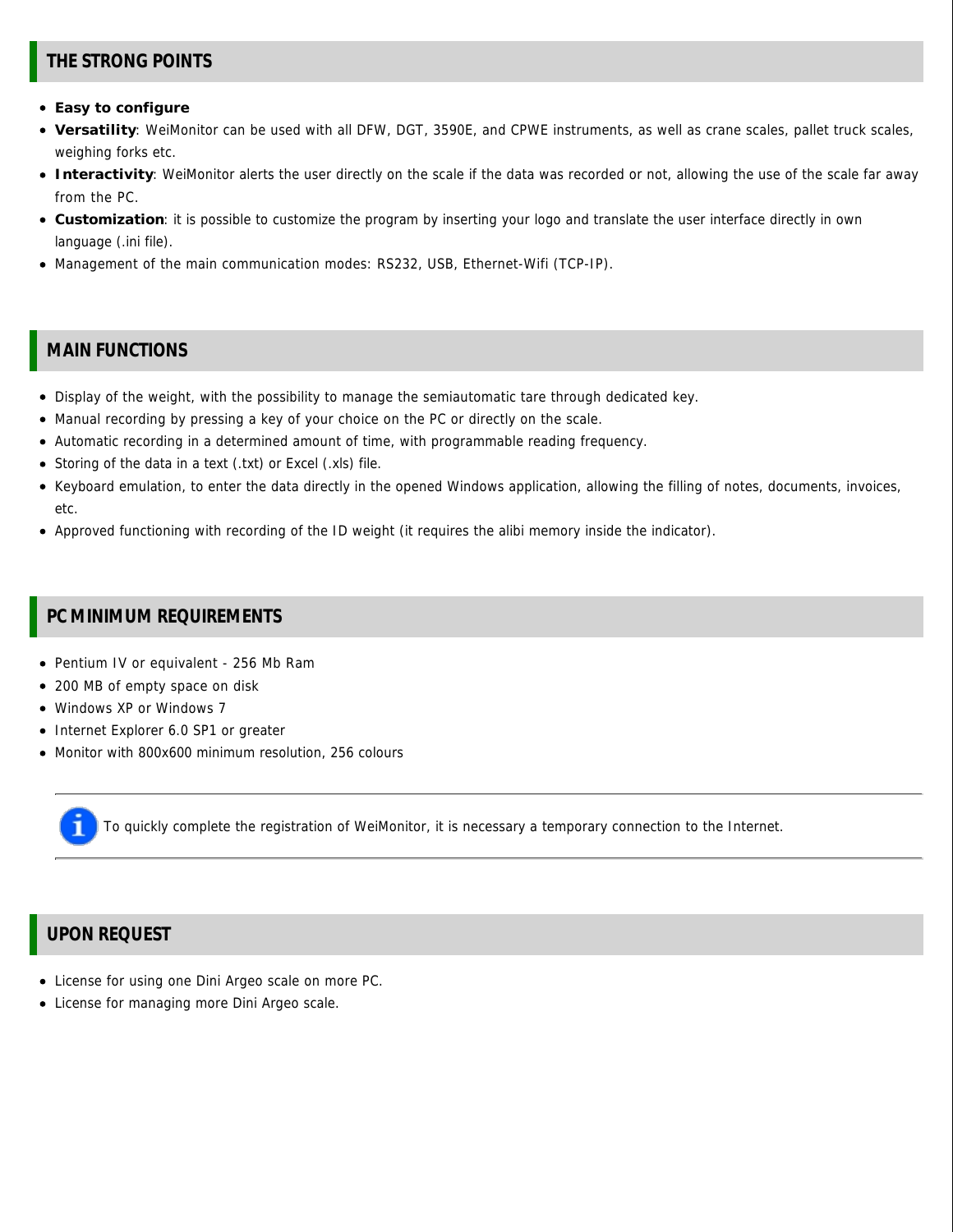## **THE STRONG POINTS**

- **Easy to configure**
- **Versatility**: WeiMonitor can be used with all DFW, DGT, 3590E, and CPWE instruments, as well as crane scales, pallet truck scales, weighing forks etc.
- **Interactivity**: WeiMonitor alerts the user directly on the scale if the data was recorded or not, allowing the use of the scale far away from the PC.
- **Customization**: it is possible to customize the program by inserting your logo and translate the user interface directly in own language (.ini file).
- Management of the main communication modes: RS232, USB, Ethernet-Wifi (TCP-IP).

#### **MAIN FUNCTIONS**

- Display of the weight, with the possibility to manage the semiautomatic tare through dedicated key.
- Manual recording by pressing a key of your choice on the PC or directly on the scale.
- Automatic recording in a determined amount of time, with programmable reading frequency.
- Storing of the data in a text (.txt) or Excel (.xls) file.
- Keyboard emulation, to enter the data directly in the opened Windows application, allowing the filling of notes, documents, invoices, etc.
- Approved functioning with recording of the ID weight (it requires the alibi memory inside the indicator).

### **PC MINIMUM REQUIREMENTS**

- Pentium IV or equivalent 256 Mb Ram
- 200 MB of empty space on disk
- Windows XP or Windows 7
- Internet Explorer 6.0 SP1 or greater
- Monitor with 800x600 minimum resolution, 256 colours

To quickly complete the registration of WeiMonitor, it is necessary a temporary connection to the Internet.

# **UPON REQUEST**

- License for using one Dini Argeo scale on more PC.
- License for managing more Dini Argeo scale.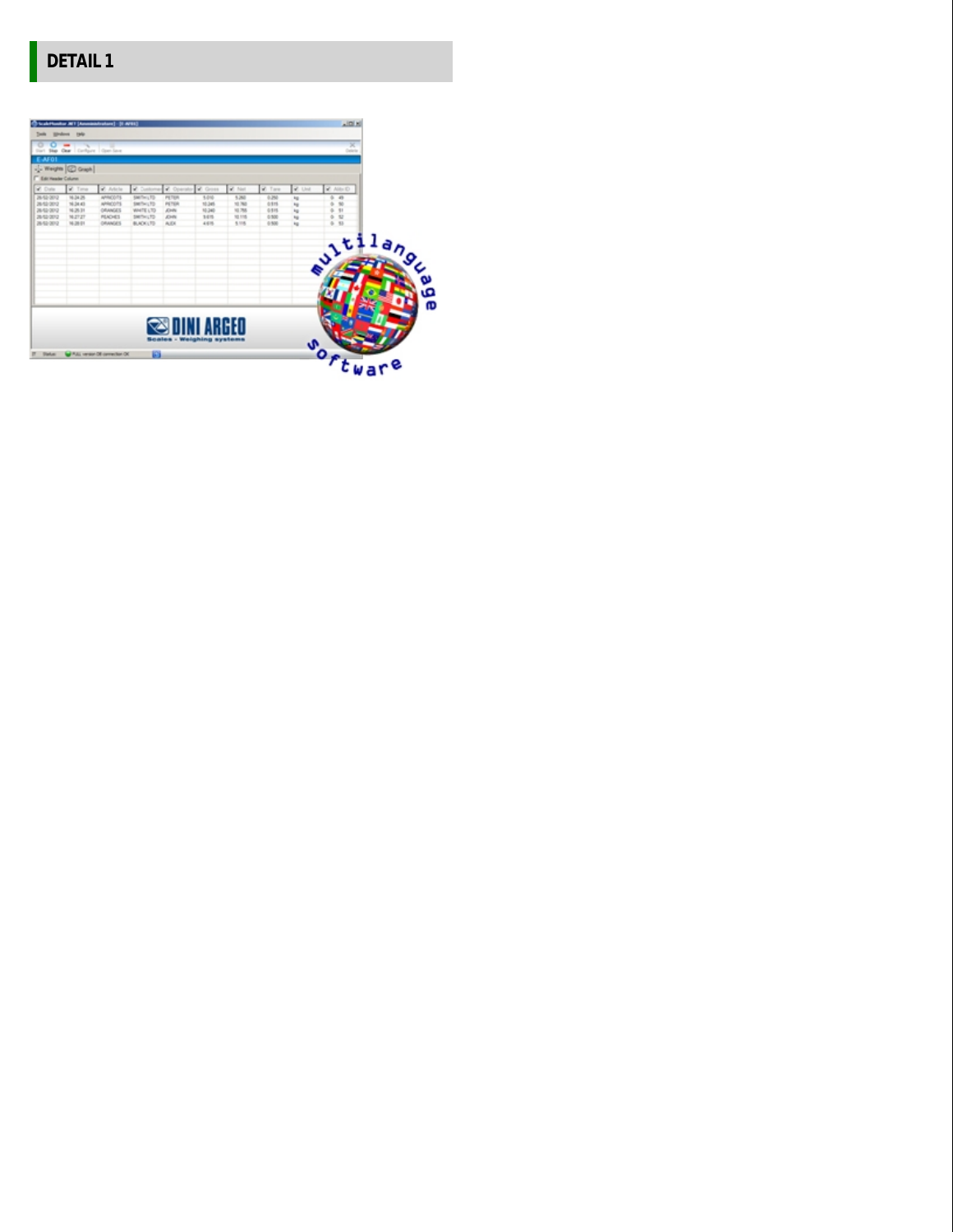